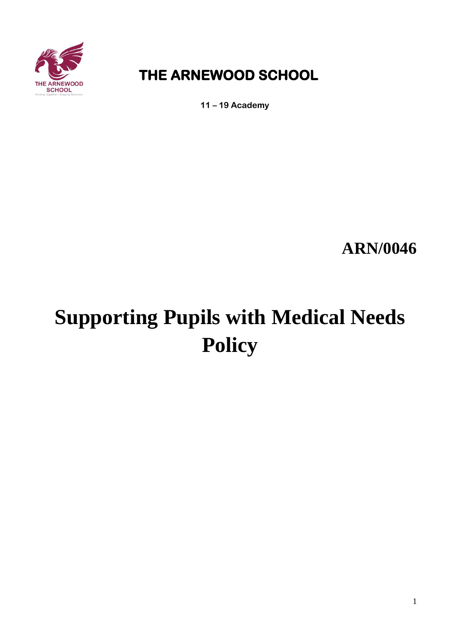

# **THE ARNEWOOD SCHOOL**

**11 – 19 Academy**

**ARN/0046**

# **Supporting Pupils with Medical Needs Policy**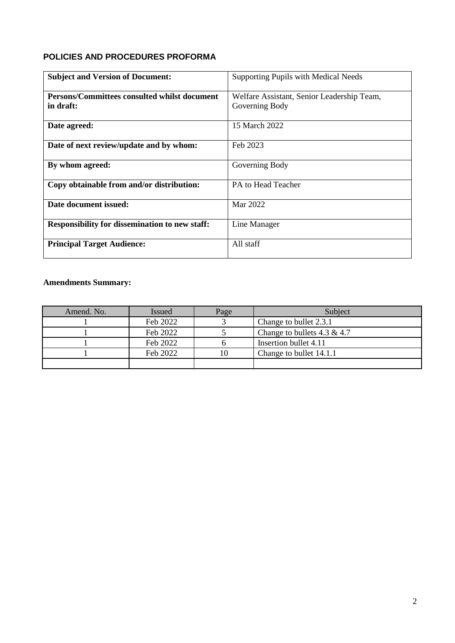### **POLICIES AND PROCEDURES PROFORMA**

| <b>Subject and Version of Document:</b>               | Supporting Pupils with Medical Needs       |
|-------------------------------------------------------|--------------------------------------------|
| Persons/Committees consulted whilst document          | Welfare Assistant, Senior Leadership Team, |
| in draft:                                             | Governing Body                             |
| Date agreed:                                          | 15 March 2022                              |
| Date of next review/update and by whom:               | Feb 2023                                   |
| By whom agreed:                                       | Governing Body                             |
| Copy obtainable from and/or distribution:             | PA to Head Teacher                         |
| Date document issued:                                 | Mar 2022                                   |
| <b>Responsibility for dissemination to new staff:</b> | Line Manager                               |
| <b>Principal Target Audience:</b>                     | All staff                                  |

## **Amendments Summary:**

| Amend. No. | <b>Issued</b> | Page | Subject                        |
|------------|---------------|------|--------------------------------|
|            | Feb 2022      |      | Change to bullet 2.3.1         |
|            | Feb 2022      |      | Change to bullets $4.3 \& 4.7$ |
|            | Feb 2022      |      | Insertion bullet 4.11          |
|            | Feb 2022      | 10   | Change to bullet 14.1.1        |
|            |               |      |                                |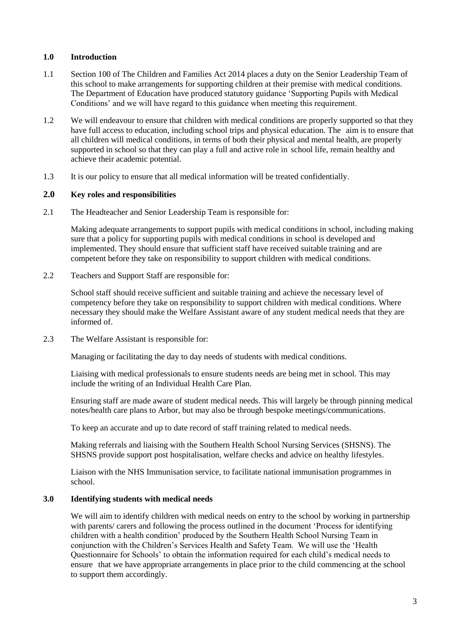#### **1.0 Introduction**

- 1.1 Section 100 of The Children and Families Act 2014 places a duty on the Senior Leadership Team of this school to make arrangements for supporting children at their premise with medical conditions. The Department of Education have produced statutory guidance 'Supporting Pupils with Medical Conditions' and we will have regard to this guidance when meeting this requirement.
- 1.2 We will endeavour to ensure that children with medical conditions are properly supported so that they have full access to education, including school trips and physical education. The aim is to ensure that all children will medical conditions, in terms of both their physical and mental health, are properly supported in school so that they can play a full and active role in school life, remain healthy and achieve their academic potential.
- 1.3 It is our policy to ensure that all medical information will be treated confidentially.

#### **2.0 Key roles and responsibilities**

2.1 The Headteacher and Senior Leadership Team is responsible for:

Making adequate arrangements to support pupils with medical conditions in school, including making sure that a policy for supporting pupils with medical conditions in school is developed and implemented. They should ensure that sufficient staff have received suitable training and are competent before they take on responsibility to support children with medical conditions.

2.2 Teachers and Support Staff are responsible for:

School staff should receive sufficient and suitable training and achieve the necessary level of competency before they take on responsibility to support children with medical conditions. Where necessary they should make the Welfare Assistant aware of any student medical needs that they are informed of.

2.3 The Welfare Assistant is responsible for:

Managing or facilitating the day to day needs of students with medical conditions.

Liaising with medical professionals to ensure students needs are being met in school. This may include the writing of an Individual Health Care Plan.

Ensuring staff are made aware of student medical needs. This will largely be through pinning medical notes/health care plans to Arbor, but may also be through bespoke meetings/communications.

To keep an accurate and up to date record of staff training related to medical needs.

 Making referrals and liaising with the Southern Health School Nursing Services (SHSNS). The SHSNS provide support post hospitalisation, welfare checks and advice on healthy lifestyles.

Liaison with the NHS Immunisation service, to facilitate national immunisation programmes in school.

#### **3.0 Identifying students with medical needs**

We will aim to identify children with medical needs on entry to the school by working in partnership with parents/ carers and following the process outlined in the document 'Process for identifying children with a health condition' produced by the Southern Health School Nursing Team in conjunction with the Children's Services Health and Safety Team. We will use the 'Health Questionnaire for Schools' to obtain the information required for each child's medical needs to ensure that we have appropriate arrangements in place prior to the child commencing at the school to support them accordingly.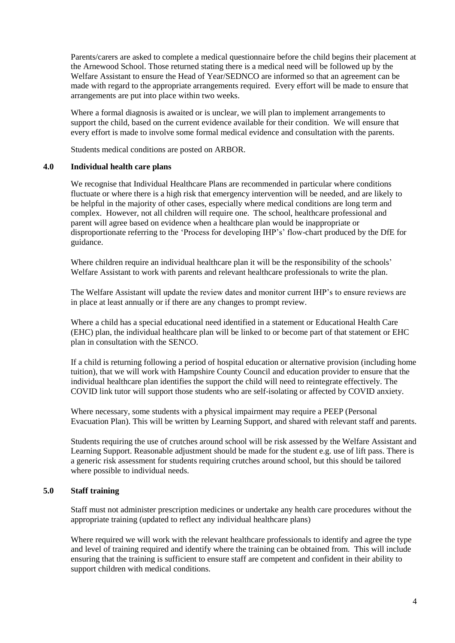Parents/carers are asked to complete a medical questionnaire before the child begins their placement at the Arnewood School. Those returned stating there is a medical need will be followed up by the Welfare Assistant to ensure the Head of Year/SEDNCO are informed so that an agreement can be made with regard to the appropriate arrangements required. Every effort will be made to ensure that arrangements are put into place within two weeks.

Where a formal diagnosis is awaited or is unclear, we will plan to implement arrangements to support the child, based on the current evidence available for their condition. We will ensure that every effort is made to involve some formal medical evidence and consultation with the parents.

Students medical conditions are posted on ARBOR.

#### **4.0 Individual health care plans**

We recognise that Individual Healthcare Plans are recommended in particular where conditions fluctuate or where there is a high risk that emergency intervention will be needed, and are likely to be helpful in the majority of other cases, especially where medical conditions are long term and complex. However, not all children will require one. The school, healthcare professional and parent will agree based on evidence when a healthcare plan would be inappropriate or disproportionate referring to the 'Process for developing IHP's' flow-chart produced by the DfE for guidance.

Where children require an individual healthcare plan it will be the responsibility of the schools' Welfare Assistant to work with parents and relevant healthcare professionals to write the plan.

The Welfare Assistant will update the review dates and monitor current IHP's to ensure reviews are in place at least annually or if there are any changes to prompt review.

Where a child has a special educational need identified in a statement or Educational Health Care (EHC) plan, the individual healthcare plan will be linked to or become part of that statement or EHC plan in consultation with the SENCO.

If a child is returning following a period of hospital education or alternative provision (including home tuition), that we will work with Hampshire County Council and education provider to ensure that the individual healthcare plan identifies the support the child will need to reintegrate effectively. The COVID link tutor will support those students who are self-isolating or affected by COVID anxiety.

Where necessary, some students with a physical impairment may require a PEEP (Personal Evacuation Plan). This will be written by Learning Support, and shared with relevant staff and parents.

Students requiring the use of crutches around school will be risk assessed by the Welfare Assistant and Learning Support. Reasonable adjustment should be made for the student e.g. use of lift pass. There is a generic risk assessment for students requiring crutches around school, but this should be tailored where possible to individual needs.

#### **5.0 Staff training**

Staff must not administer prescription medicines or undertake any health care procedures without the appropriate training (updated to reflect any individual healthcare plans)

Where required we will work with the relevant healthcare professionals to identify and agree the type and level of training required and identify where the training can be obtained from. This will include ensuring that the training is sufficient to ensure staff are competent and confident in their ability to support children with medical conditions.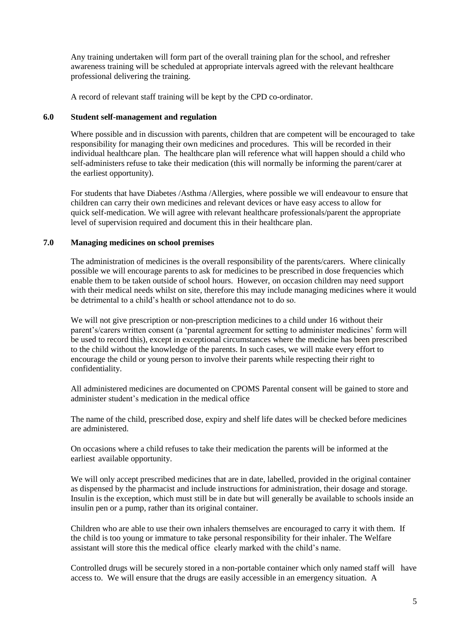Any training undertaken will form part of the overall training plan for the school, and refresher awareness training will be scheduled at appropriate intervals agreed with the relevant healthcare professional delivering the training.

A record of relevant staff training will be kept by the CPD co-ordinator.

#### **6.0 Student self-management and regulation**

Where possible and in discussion with parents, children that are competent will be encouraged to take responsibility for managing their own medicines and procedures. This will be recorded in their individual healthcare plan. The healthcare plan will reference what will happen should a child who self-administers refuse to take their medication (this will normally be informing the parent/carer at the earliest opportunity).

For students that have Diabetes /Asthma /Allergies, where possible we will endeavour to ensure that children can carry their own medicines and relevant devices or have easy access to allow for quick self-medication. We will agree with relevant healthcare professionals/parent the appropriate level of supervision required and document this in their healthcare plan.

#### **7.0 Managing medicines on school premises**

The administration of medicines is the overall responsibility of the parents/carers. Where clinically possible we will encourage parents to ask for medicines to be prescribed in dose frequencies which enable them to be taken outside of school hours. However, on occasion children may need support with their medical needs whilst on site, therefore this may include managing medicines where it would be detrimental to a child's health or school attendance not to do so.

We will not give prescription or non-prescription medicines to a child under 16 without their parent's/carers written consent (a 'parental agreement for setting to administer medicines' form will be used to record this), except in exceptional circumstances where the medicine has been prescribed to the child without the knowledge of the parents. In such cases, we will make every effort to encourage the child or young person to involve their parents while respecting their right to confidentiality.

All administered medicines are documented on CPOMS Parental consent will be gained to store and administer student's medication in the medical office

The name of the child, prescribed dose, expiry and shelf life dates will be checked before medicines are administered.

On occasions where a child refuses to take their medication the parents will be informed at the earliest available opportunity.

We will only accept prescribed medicines that are in date, labelled, provided in the original container as dispensed by the pharmacist and include instructions for administration, their dosage and storage. Insulin is the exception, which must still be in date but will generally be available to schools inside an insulin pen or a pump, rather than its original container.

Children who are able to use their own inhalers themselves are encouraged to carry it with them. If the child is too young or immature to take personal responsibility for their inhaler. The Welfare assistant will store this the medical office clearly marked with the child's name.

Controlled drugs will be securely stored in a non-portable container which only named staff will have access to. We will ensure that the drugs are easily accessible in an emergency situation. A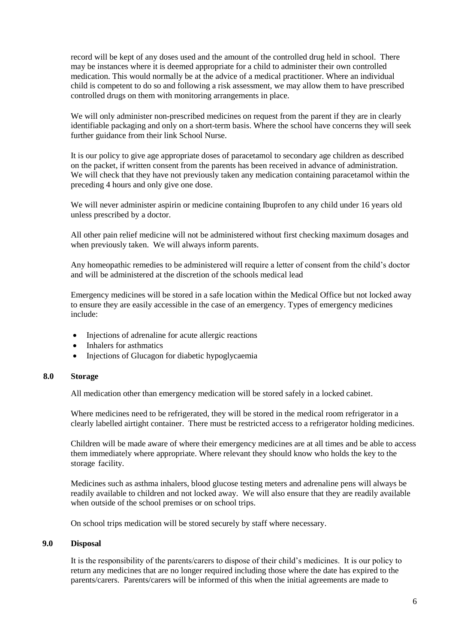record will be kept of any doses used and the amount of the controlled drug held in school. There may be instances where it is deemed appropriate for a child to administer their own controlled medication. This would normally be at the advice of a medical practitioner. Where an individual child is competent to do so and following a risk assessment, we may allow them to have prescribed controlled drugs on them with monitoring arrangements in place.

We will only administer non-prescribed medicines on request from the parent if they are in clearly identifiable packaging and only on a short-term basis. Where the school have concerns they will seek further guidance from their link School Nurse.

It is our policy to give age appropriate doses of paracetamol to secondary age children as described on the packet, if written consent from the parents has been received in advance of administration. We will check that they have not previously taken any medication containing paracetamol within the preceding 4 hours and only give one dose.

We will never administer aspirin or medicine containing Ibuprofen to any child under 16 years old unless prescribed by a doctor.

All other pain relief medicine will not be administered without first checking maximum dosages and when previously taken. We will always inform parents.

Any homeopathic remedies to be administered will require a letter of consent from the child's doctor and will be administered at the discretion of the schools medical lead

Emergency medicines will be stored in a safe location within the Medical Office but not locked away to ensure they are easily accessible in the case of an emergency. Types of emergency medicines include:

- Injections of adrenaline for acute allergic reactions
- Inhalers for asthmatics
- Injections of Glucagon for diabetic hypoglycaemia

#### **8.0 Storage**

All medication other than emergency medication will be stored safely in a locked cabinet.

Where medicines need to be refrigerated, they will be stored in the medical room refrigerator in a clearly labelled airtight container. There must be restricted access to a refrigerator holding medicines.

Children will be made aware of where their emergency medicines are at all times and be able to access them immediately where appropriate. Where relevant they should know who holds the key to the storage facility.

Medicines such as asthma inhalers, blood glucose testing meters and adrenaline pens will always be readily available to children and not locked away. We will also ensure that they are readily available when outside of the school premises or on school trips.

On school trips medication will be stored securely by staff where necessary.

#### **9.0 Disposal**

It is the responsibility of the parents/carers to dispose of their child's medicines. It is our policy to return any medicines that are no longer required including those where the date has expired to the parents/carers. Parents/carers will be informed of this when the initial agreements are made to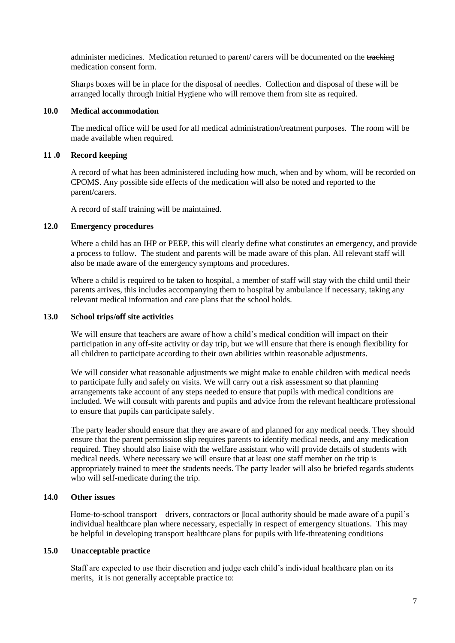administer medicines. Medication returned to parent/ carers will be documented on the tracking medication consent form.

Sharps boxes will be in place for the disposal of needles. Collection and disposal of these will be arranged locally through Initial Hygiene who will remove them from site as required.

#### **10.0 Medical accommodation**

The medical office will be used for all medical administration/treatment purposes. The room will be made available when required.

#### **11 .0 Record keeping**

A record of what has been administered including how much, when and by whom, will be recorded on CPOMS. Any possible side effects of the medication will also be noted and reported to the parent/carers.

A record of staff training will be maintained.

#### **12.0 Emergency procedures**

Where a child has an IHP or PEEP, this will clearly define what constitutes an emergency, and provide a process to follow. The student and parents will be made aware of this plan. All relevant staff will also be made aware of the emergency symptoms and procedures.

Where a child is required to be taken to hospital, a member of staff will stay with the child until their parents arrives, this includes accompanying them to hospital by ambulance if necessary, taking any relevant medical information and care plans that the school holds.

#### **13.0 School trips/off site activities**

We will ensure that teachers are aware of how a child's medical condition will impact on their participation in any off-site activity or day trip, but we will ensure that there is enough flexibility for all children to participate according to their own abilities within reasonable adjustments.

We will consider what reasonable adjustments we might make to enable children with medical needs to participate fully and safely on visits. We will carry out a risk assessment so that planning arrangements take account of any steps needed to ensure that pupils with medical conditions are included. We will consult with parents and pupils and advice from the relevant healthcare professional to ensure that pupils can participate safely.

The party leader should ensure that they are aware of and planned for any medical needs. They should ensure that the parent permission slip requires parents to identify medical needs, and any medication required. They should also liaise with the welfare assistant who will provide details of students with medical needs. Where necessary we will ensure that at least one staff member on the trip is appropriately trained to meet the students needs. The party leader will also be briefed regards students who will self-medicate during the trip.

#### **14.0 Other issues**

Home-to-school transport – drivers, contractors or |local authority should be made aware of a pupil's individual healthcare plan where necessary, especially in respect of emergency situations. This may be helpful in developing transport healthcare plans for pupils with life-threatening conditions

#### **15.0 Unacceptable practice**

Staff are expected to use their discretion and judge each child's individual healthcare plan on its merits, it is not generally acceptable practice to: